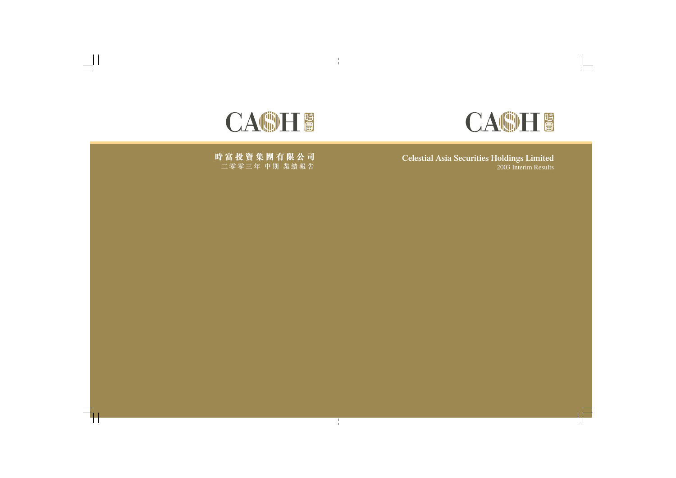

**Celestial Asia Securities Holdings Limited** 2003 Interim Results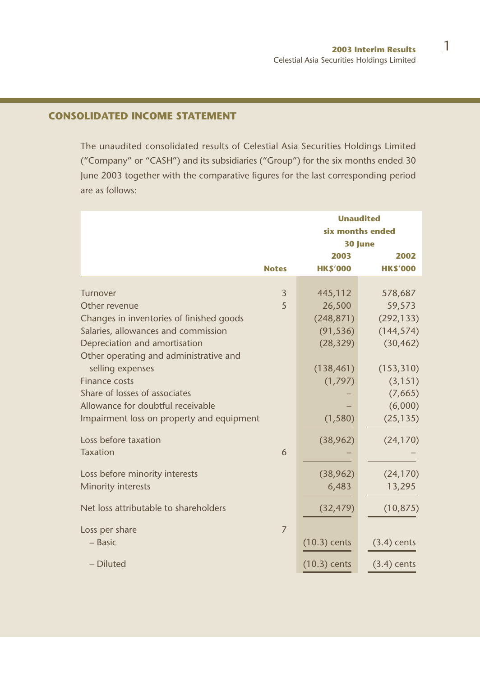# **CONSOLIDATED INCOME STATEMENT**

The unaudited consolidated results of Celestial Asia Securities Holdings Limited ("Company" or "CASH") and its subsidiaries ("Group") for the six months ended 30 June 2003 together with the comparative figures for the last corresponding period are as follows:

|                                           |                |                | <b>Unaudited</b><br>six months ended<br>30 June |  |
|-------------------------------------------|----------------|----------------|-------------------------------------------------|--|
|                                           |                | 2003           | 2002                                            |  |
|                                           | <b>Notes</b>   | <b>HKS'000</b> | <b>HKS'000</b>                                  |  |
| Turnover                                  | $\overline{3}$ |                |                                                 |  |
|                                           |                | 445,112        | 578,687                                         |  |
| Other revenue                             | 5              | 26,500         | 59,573                                          |  |
| Changes in inventories of finished goods  |                | (248, 871)     | (292, 133)                                      |  |
| Salaries, allowances and commission       |                | (91, 536)      | (144, 574)                                      |  |
| Depreciation and amortisation             |                | (28, 329)      | (30, 462)                                       |  |
| Other operating and administrative and    |                |                |                                                 |  |
| selling expenses                          |                | (138, 461)     | (153, 310)                                      |  |
| Finance costs                             |                | (1,797)        | (3, 151)                                        |  |
| Share of losses of associates             |                |                | (7,665)                                         |  |
| Allowance for doubtful receivable         |                |                | (6,000)                                         |  |
| Impairment loss on property and equipment |                | (1,580)        | (25, 135)                                       |  |
|                                           |                |                |                                                 |  |
| Loss before taxation                      |                | (38,962)       | (24, 170)                                       |  |
| <b>Taxation</b>                           | 6              |                |                                                 |  |
|                                           |                |                |                                                 |  |
| Loss before minority interests            |                | (38, 962)      | (24, 170)                                       |  |
| Minority interests                        |                | 6,483          | 13,295                                          |  |
|                                           |                |                |                                                 |  |
| Net loss attributable to shareholders     |                | (32, 479)      | (10, 875)                                       |  |
|                                           |                |                |                                                 |  |
| Loss per share                            | 7              |                |                                                 |  |
| $-$ Basic                                 |                | $(10.3)$ cents | $(3.4)$ cents                                   |  |
|                                           |                |                |                                                 |  |
| - Diluted                                 |                | $(10.3)$ cents | $(3.4)$ cents                                   |  |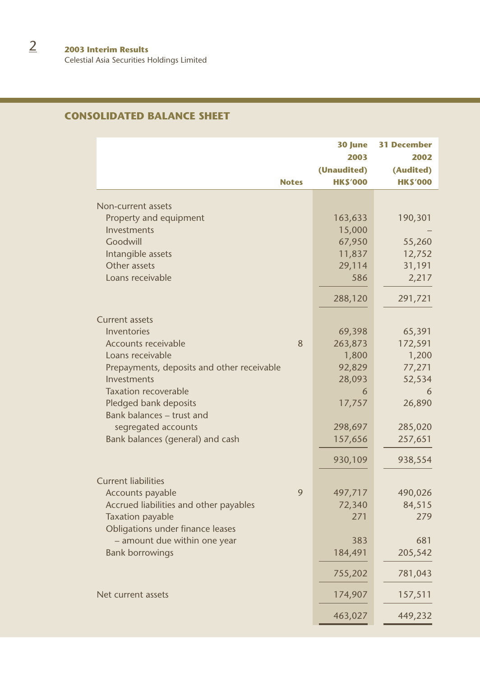Celestial Asia Securities Holdings Limited

# **CONSOLIDATED BALANCE SHEET**

| <b>Notes</b>                                       | 30 June<br>2003<br>(Unaudited)<br><b>HKS'000</b> | <b>31 December</b><br>2002<br>(Audited)<br><b>HK\$'000</b> |
|----------------------------------------------------|--------------------------------------------------|------------------------------------------------------------|
|                                                    |                                                  |                                                            |
| Non-current assets                                 |                                                  |                                                            |
| Property and equipment<br>Investments              | 163,633<br>15,000                                | 190,301                                                    |
| Goodwill                                           | 67,950                                           | 55,260                                                     |
| Intangible assets                                  | 11,837                                           | 12,752                                                     |
| Other assets                                       | 29,114                                           | 31,191                                                     |
| Loans receivable                                   | 586                                              | 2,217                                                      |
|                                                    | 288,120                                          | 291,721                                                    |
| <b>Current assets</b>                              |                                                  |                                                            |
| Inventories                                        | 69,398                                           | 65,391                                                     |
| 8<br>Accounts receivable                           | 263,873                                          | 172,591                                                    |
| Loans receivable                                   | 1,800                                            | 1,200                                                      |
| Prepayments, deposits and other receivable         | 92,829                                           | 77,271                                                     |
| Investments                                        | 28,093                                           | 52,534                                                     |
| <b>Taxation recoverable</b>                        | 6                                                | 6                                                          |
| Pledged bank deposits<br>Bank balances - trust and | 17,757                                           | 26,890                                                     |
| segregated accounts                                | 298,697                                          | 285,020                                                    |
| Bank balances (general) and cash                   | 157,656                                          | 257,651                                                    |
|                                                    | 930,109                                          | 938,554                                                    |
| <b>Current liabilities</b>                         |                                                  |                                                            |
| 9<br>Accounts payable                              | 497,717                                          | 490,026                                                    |
| Accrued liabilities and other payables             | 72,340                                           | 84,515                                                     |
| <b>Taxation payable</b>                            | 271                                              | 279                                                        |
| Obligations under finance leases                   |                                                  |                                                            |
| - amount due within one year                       | 383                                              | 681                                                        |
| <b>Bank borrowings</b>                             | 184,491                                          | 205,542                                                    |
|                                                    | 755,202                                          | 781,043                                                    |
| Net current assets                                 | 174,907                                          | 157,511                                                    |
|                                                    | 463,027                                          | 449,232                                                    |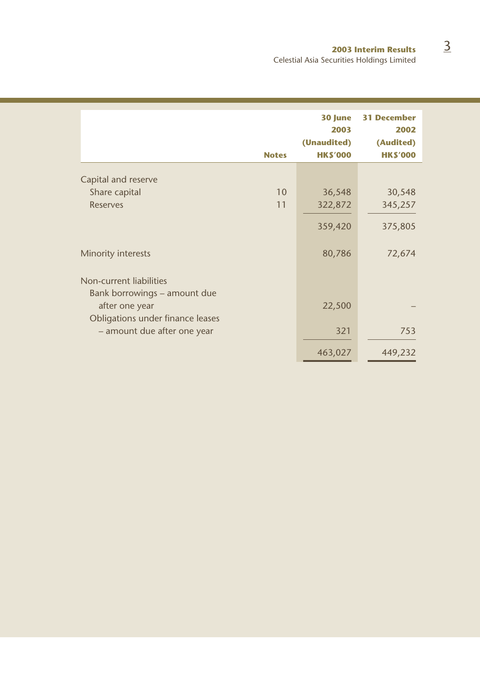|                                                |              | 30 June        | <b>31 December</b> |
|------------------------------------------------|--------------|----------------|--------------------|
|                                                |              | 2003           | 2002               |
|                                                |              | (Unaudited)    | (Audited)          |
|                                                | <b>Notes</b> | <b>HKS'000</b> | <b>HKS'000</b>     |
|                                                |              |                |                    |
| Capital and reserve                            |              |                |                    |
| Share capital                                  | 10           | 36,548         | 30,548             |
| <b>Reserves</b>                                | 11           | 322,872        | 345,257            |
|                                                |              | 359,420        | 375,805            |
| Minority interests                             |              | 80,786         | 72,674             |
| Non-current liabilities                        |              |                |                    |
|                                                |              |                |                    |
| Bank borrowings – amount due<br>after one year |              | 22,500         |                    |
| Obligations under finance leases               |              |                |                    |
| - amount due after one year                    |              | 321            | 753                |
|                                                |              | 463,027        | 449,232            |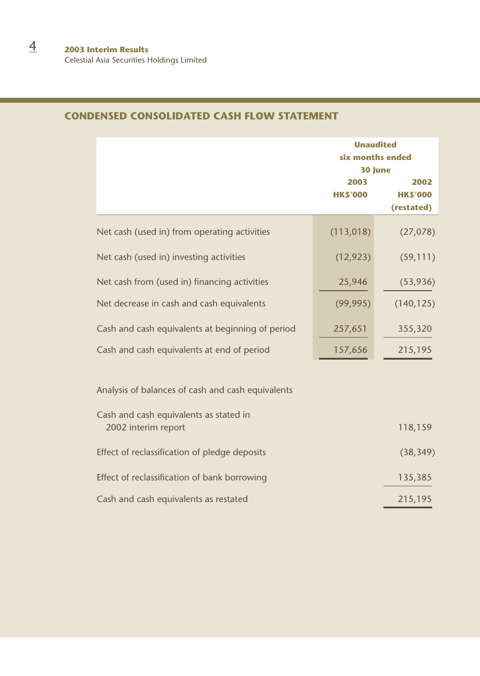|                                                                                             | <b>Unaudited</b><br>six months ended<br>30 June |                                      |
|---------------------------------------------------------------------------------------------|-------------------------------------------------|--------------------------------------|
|                                                                                             | 2003<br><b>HKS'000</b>                          | 2002<br><b>HKS'000</b><br>(restated) |
| Net cash (used in) from operating activities                                                | (113,018)                                       | (27, 078)                            |
| Net cash (used in) investing activities                                                     | (12, 923)                                       | (59, 111)                            |
| Net cash from (used in) financing activities                                                | 25,946                                          | (53,936)                             |
| Net decrease in cash and cash equivalents                                                   | (99, 995)                                       | (140, 125)                           |
| Cash and cash equivalents at beginning of period                                            | 257,651                                         | 355,320                              |
| Cash and cash equivalents at end of period                                                  | 157,656                                         | 215,195                              |
| Analysis of balances of cash and cash equivalents<br>Cash and cash equivalents as stated in |                                                 |                                      |
| 2002 interim report                                                                         |                                                 | 118,159                              |
| Effect of reclassification of pledge deposits                                               |                                                 | (38, 349)                            |
| Effect of reclassification of bank borrowing                                                |                                                 | 135,385                              |
| Cash and cash equivalents as restated                                                       |                                                 | 215,195                              |

# **CONDENSED CONSOLIDATED CASH FLOW STATEMENT**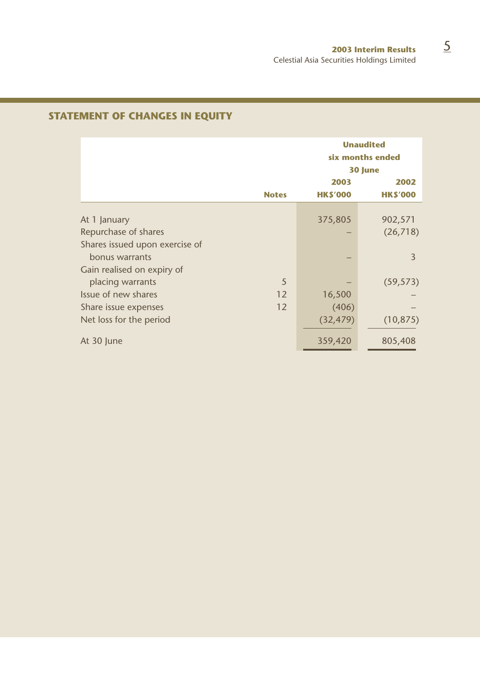|                                |              | <b>Unaudited</b><br>six months ended<br>30 June |                        |  |
|--------------------------------|--------------|-------------------------------------------------|------------------------|--|
|                                | <b>Notes</b> | 2003<br><b>HKS'000</b>                          | 2002<br><b>HKS'000</b> |  |
|                                |              |                                                 |                        |  |
| At 1 January                   |              | 375,805                                         | 902,571                |  |
| Repurchase of shares           |              |                                                 | (26, 718)              |  |
| Shares issued upon exercise of |              |                                                 |                        |  |
| bonus warrants                 |              |                                                 | $\overline{3}$         |  |
| Gain realised on expiry of     |              |                                                 |                        |  |
| placing warrants               | 5            |                                                 | (59, 573)              |  |
| Issue of new shares            | 12           | 16,500                                          |                        |  |
| Share issue expenses           | 12           | (406)                                           |                        |  |
| Net loss for the period        |              | (32, 479)                                       | (10, 875)              |  |
| At 30 June                     |              | 359,420                                         | 805,408                |  |

# **STATEMENT OF CHANGES IN EQUITY**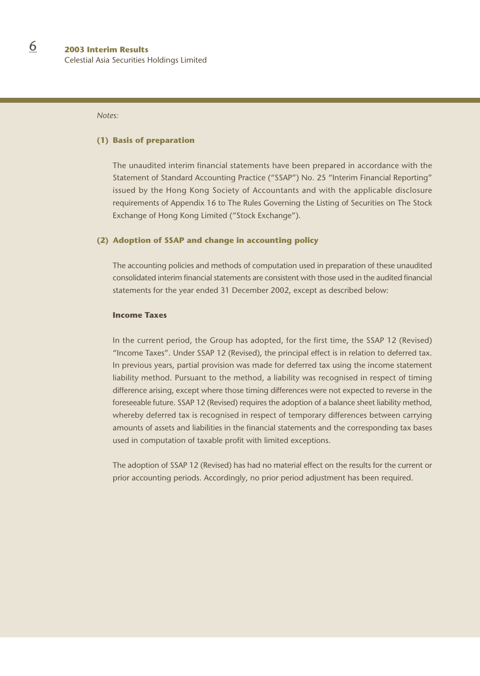#### *Notes:*

#### **(1) Basis of preparation**

The unaudited interim financial statements have been prepared in accordance with the Statement of Standard Accounting Practice ("SSAP") No. 25 "Interim Financial Reporting" issued by the Hong Kong Society of Accountants and with the applicable disclosure requirements of Appendix 16 to The Rules Governing the Listing of Securities on The Stock Exchange of Hong Kong Limited ("Stock Exchange").

#### **(2) Adoption of SSAP and change in accounting policy**

The accounting policies and methods of computation used in preparation of these unaudited consolidated interim financial statements are consistent with those used in the audited financial statements for the year ended 31 December 2002, except as described below:

#### **Income Taxes**

In the current period, the Group has adopted, for the first time, the SSAP 12 (Revised) "Income Taxes". Under SSAP 12 (Revised), the principal effect is in relation to deferred tax. In previous years, partial provision was made for deferred tax using the income statement liability method. Pursuant to the method, a liability was recognised in respect of timing difference arising, except where those timing differences were not expected to reverse in the foreseeable future. SSAP 12 (Revised) requires the adoption of a balance sheet liability method, whereby deferred tax is recognised in respect of temporary differences between carrying amounts of assets and liabilities in the financial statements and the corresponding tax bases used in computation of taxable profit with limited exceptions.

The adoption of SSAP 12 (Revised) has had no material effect on the results for the current or prior accounting periods. Accordingly, no prior period adjustment has been required.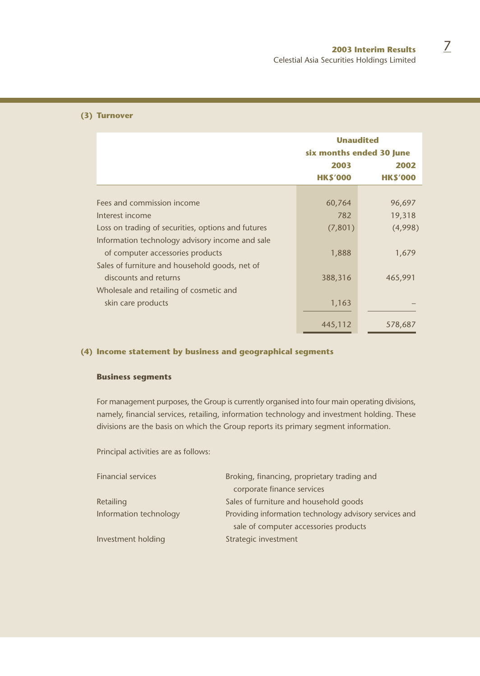#### **(3) Turnover**

|                                                    | <b>Unaudited</b><br>six months ended 30 June |                |  |
|----------------------------------------------------|----------------------------------------------|----------------|--|
|                                                    | 2003                                         | 2002           |  |
|                                                    | <b>HKS'000</b>                               | <b>HKS'000</b> |  |
|                                                    |                                              |                |  |
| Fees and commission income                         | 60,764                                       | 96,697         |  |
| Interest income                                    | 782                                          | 19,318         |  |
| Loss on trading of securities, options and futures | (7,801)                                      | (4,998)        |  |
| Information technology advisory income and sale    |                                              |                |  |
| of computer accessories products                   | 1,888                                        | 1,679          |  |
| Sales of furniture and household goods, net of     |                                              |                |  |
| discounts and returns                              | 388,316                                      | 465,991        |  |
| Wholesale and retailing of cosmetic and            |                                              |                |  |
| skin care products                                 | 1,163                                        |                |  |
|                                                    | 445,112                                      | 578,687        |  |
|                                                    |                                              |                |  |

### **(4) Income statement by business and geographical segments**

#### **Business segments**

For management purposes, the Group is currently organised into four main operating divisions, namely, financial services, retailing, information technology and investment holding. These divisions are the basis on which the Group reports its primary segment information.

Principal activities are as follows:

| <b>Financial services</b> | Broking, financing, proprietary trading and            |
|---------------------------|--------------------------------------------------------|
|                           | corporate finance services                             |
| Retailing                 | Sales of furniture and household goods                 |
| Information technology    | Providing information technology advisory services and |
|                           | sale of computer accessories products                  |
| Investment holding        | Strategic investment                                   |
|                           |                                                        |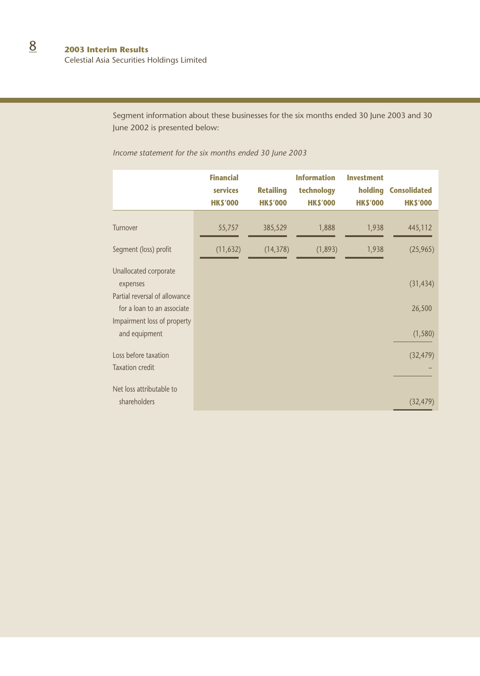Celestial Asia Securities Holdings Limited

Segment information about these businesses for the six months ended 30 June 2003 and 30 June 2002 is presented below:

*Income statement for the six months ended 30 June 2003*

|                                                             | <b>Financial</b><br>services<br><b>HKS'000</b> | <b>Retailing</b><br><b>HKS'000</b> | <b>Information</b><br>technology<br><b>HK\$'000</b> | <b>Investment</b><br>holding<br><b>HKS'000</b> | <b>Consolidated</b><br><b>HKS'000</b> |
|-------------------------------------------------------------|------------------------------------------------|------------------------------------|-----------------------------------------------------|------------------------------------------------|---------------------------------------|
| Turnover                                                    | 55,757                                         | 385,529                            | 1,888                                               | 1,938                                          | 445,112                               |
| Segment (loss) profit                                       | (11, 632)                                      | (14, 378)                          | (1,893)                                             | 1,938                                          | (25, 965)                             |
| Unallocated corporate<br>expenses                           |                                                |                                    |                                                     |                                                | (31, 434)                             |
| Partial reversal of allowance<br>for a loan to an associate |                                                |                                    |                                                     |                                                | 26,500                                |
| Impairment loss of property<br>and equipment                |                                                |                                    |                                                     |                                                | (1, 580)                              |
| Loss before taxation<br><b>Taxation credit</b>              |                                                |                                    |                                                     |                                                | (32, 479)                             |
| Net loss attributable to<br>shareholders                    |                                                |                                    |                                                     |                                                | (32, 479)                             |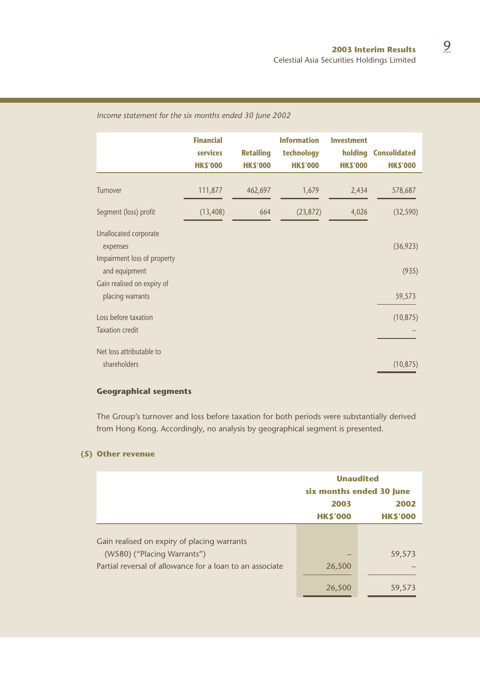# **Financial Information Investment services Retailing technology holding Consolidated HK\$'000 HK\$'000 HK\$'000 HK\$'000 HK\$'000** Turnover 111,877 462,697 1,679 2,434 578,687 Segment (loss) profit (13,408) 664 (23,872) 4,026 (32,590) Unallocated corporate expenses (36,923) Impairment loss of property and equipment (935) Gain realised on expiry of placing warrants 59,573 Loss before taxation (10,875) Taxation credit – Net loss attributable to shareholders (10,875)

#### *Income statement for the six months ended 30 June 2002*

#### **Geographical segments**

The Group's turnover and loss before taxation for both periods were substantially derived from Hong Kong. Accordingly, no analysis by geographical segment is presented.

#### **(5) Other revenue**

|                                                          | <b>Unaudited</b><br>six months ended 30 June |                        |  |
|----------------------------------------------------------|----------------------------------------------|------------------------|--|
|                                                          | 2003<br><b>HKS'000</b>                       | 2002<br><b>HKS'000</b> |  |
| Gain realised on expiry of placing warrants              |                                              |                        |  |
| (W580) ("Placing Warrants")                              |                                              | 59,573                 |  |
| Partial reversal of allowance for a loan to an associate | 26,500                                       |                        |  |
|                                                          | 26,500                                       | 59,573                 |  |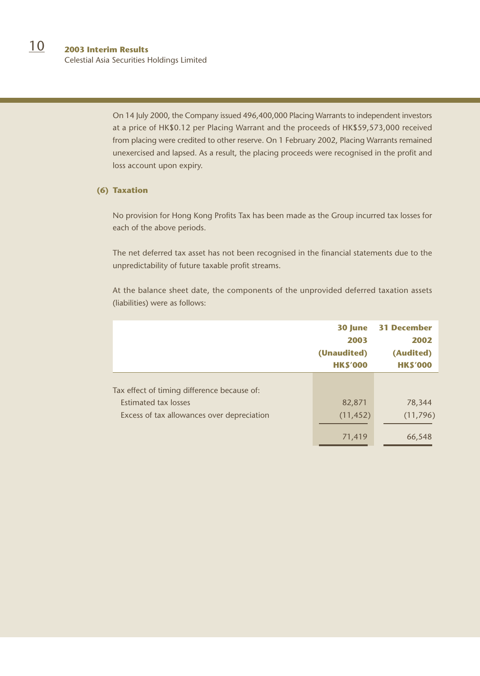Celestial Asia Securities Holdings Limited

On 14 July 2000, the Company issued 496,400,000 Placing Warrants to independent investors at a price of HK\$0.12 per Placing Warrant and the proceeds of HK\$59,573,000 received from placing were credited to other reserve. On 1 February 2002, Placing Warrants remained unexercised and lapsed. As a result, the placing proceeds were recognised in the profit and loss account upon expiry.

#### **(6) Taxation**

No provision for Hong Kong Profits Tax has been made as the Group incurred tax losses for each of the above periods.

The net deferred tax asset has not been recognised in the financial statements due to the unpredictability of future taxable profit streams.

At the balance sheet date, the components of the unprovided deferred taxation assets (liabilities) were as follows:

|                                             | 30 June<br>2003<br>(Unaudited)<br><b>HKS'000</b> | <b>31 December</b><br>2002<br>(Audited)<br><b>HKS'000</b> |
|---------------------------------------------|--------------------------------------------------|-----------------------------------------------------------|
| Tax effect of timing difference because of: |                                                  |                                                           |
| <b>Estimated tax losses</b>                 | 82,871                                           | 78,344                                                    |
| Excess of tax allowances over depreciation  | (11, 452)                                        | (11, 796)                                                 |
|                                             | 71,419                                           | 66,548                                                    |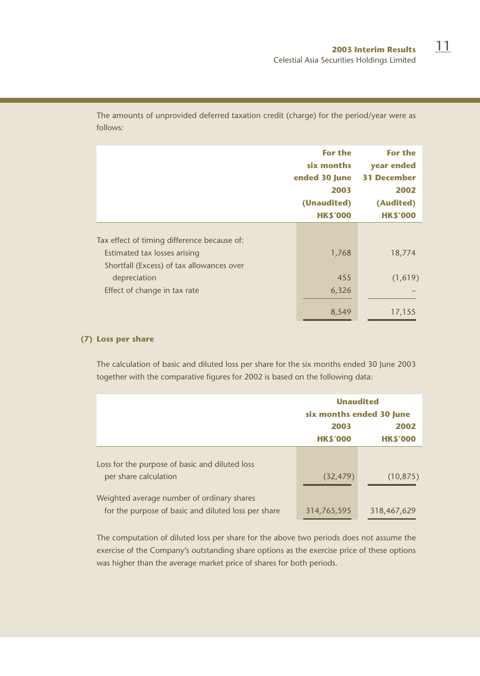**For the For the six months year ended ended 30 June 31 December 2003 2002 (Unaudited) (Audited) HK\$'000 HK\$'000** Tax effect of timing difference because of: Estimated tax losses arising 1,768 18,774 Shortfall (Excess) of tax allowances over depreciation (1,619) Effect of change in tax rate 6,326 8,549 17,155

The amounts of unprovided deferred taxation credit (charge) for the period/year were as follows:

#### **(7) Loss per share**

The calculation of basic and diluted loss per share for the six months ended 30 June 2003 together with the comparative figures for 2002 is based on the following data:

|                                                                         | <b>Unaudited</b>         |                |  |
|-------------------------------------------------------------------------|--------------------------|----------------|--|
|                                                                         | six months ended 30 June |                |  |
|                                                                         | 2003                     | 2002           |  |
|                                                                         | <b>HKS'000</b>           | <b>HKS'000</b> |  |
| Loss for the purpose of basic and diluted loss<br>per share calculation | (32, 479)                | (10, 875)      |  |
| Weighted average number of ordinary shares                              |                          |                |  |
| for the purpose of basic and diluted loss per share                     | 314,765,595              | 318,467,629    |  |

The computation of diluted loss per share for the above two periods does not assume the exercise of the Company's outstanding share options as the exercise price of these options was higher than the average market price of shares for both periods.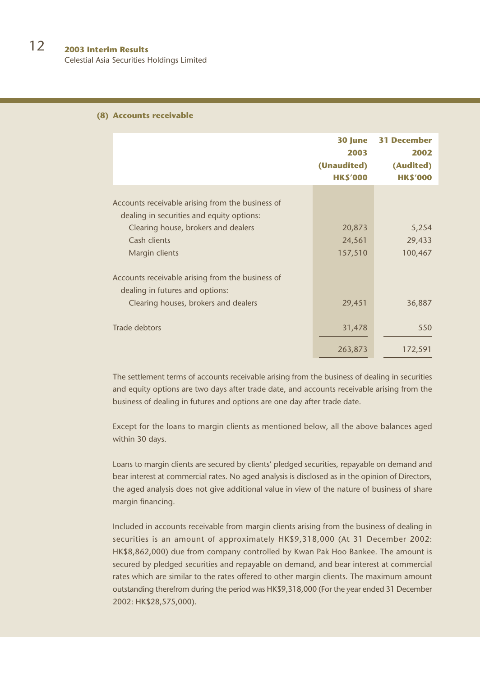#### **(8) Accounts receivable**

|                                                                                                                                                                        | 30 June<br>2003<br>(Unaudited)<br><b>HKS'000</b> | <b>31 December</b><br>2002<br>(Audited)<br><b>HKS'000</b> |
|------------------------------------------------------------------------------------------------------------------------------------------------------------------------|--------------------------------------------------|-----------------------------------------------------------|
| Accounts receivable arising from the business of<br>dealing in securities and equity options:<br>Clearing house, brokers and dealers<br>Cash clients<br>Margin clients | 20,873<br>24,561<br>157,510                      | 5,254<br>29,433<br>100,467                                |
| Accounts receivable arising from the business of<br>dealing in futures and options:<br>Clearing houses, brokers and dealers                                            | 29,451                                           | 36,887                                                    |
| Trade debtors                                                                                                                                                          | 31,478<br>263,873                                | 550<br>172,591                                            |

The settlement terms of accounts receivable arising from the business of dealing in securities and equity options are two days after trade date, and accounts receivable arising from the business of dealing in futures and options are one day after trade date.

Except for the loans to margin clients as mentioned below, all the above balances aged within 30 days.

Loans to margin clients are secured by clients' pledged securities, repayable on demand and bear interest at commercial rates. No aged analysis is disclosed as in the opinion of Directors, the aged analysis does not give additional value in view of the nature of business of share margin financing.

Included in accounts receivable from margin clients arising from the business of dealing in securities is an amount of approximately HK\$9,318,000 (At 31 December 2002: HK\$8,862,000) due from company controlled by Kwan Pak Hoo Bankee. The amount is secured by pledged securities and repayable on demand, and bear interest at commercial rates which are similar to the rates offered to other margin clients. The maximum amount outstanding therefrom during the period was HK\$9,318,000 (For the year ended 31 December 2002: HK\$28,575,000).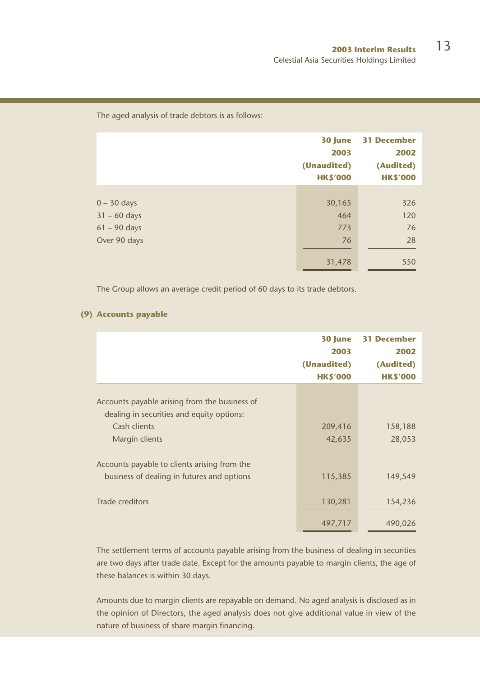#### The aged analysis of trade debtors is as follows:

|                | 30 June<br>2003<br>(Unaudited)<br><b>HKS'000</b> | <b>31 December</b><br>2002<br>(Audited)<br><b>HKS'000</b> |
|----------------|--------------------------------------------------|-----------------------------------------------------------|
|                |                                                  |                                                           |
| $0 - 30$ days  | 30,165                                           | 326                                                       |
| $31 - 60$ days | 464                                              | 120                                                       |
| $61 - 90$ days | 773                                              | 76                                                        |
| Over 90 days   | 76                                               | 28                                                        |
|                | 31,478                                           | 550                                                       |

The Group allows an average credit period of 60 days to its trade debtors.

## **(9) Accounts payable**

|                                                                                            | 30 June<br>2003<br>(Unaudited)<br><b>HK\$'000</b> | <b>31 December</b><br>2002<br>(Audited)<br><b>HKS'000</b> |
|--------------------------------------------------------------------------------------------|---------------------------------------------------|-----------------------------------------------------------|
| Accounts payable arising from the business of<br>dealing in securities and equity options: |                                                   |                                                           |
| Cash clients<br>Margin clients                                                             | 209,416<br>42,635                                 | 158,188<br>28,053                                         |
| Accounts payable to clients arising from the<br>business of dealing in futures and options | 115,385                                           | 149,549                                                   |
| Trade creditors                                                                            | 130,281                                           | 154,236                                                   |
|                                                                                            | 497,717                                           | 490,026                                                   |

The settlement terms of accounts payable arising from the business of dealing in securities are two days after trade date. Except for the amounts payable to margin clients, the age of these balances is within 30 days.

Amounts due to margin clients are repayable on demand. No aged analysis is disclosed as in the opinion of Directors, the aged analysis does not give additional value in view of the nature of business of share margin financing.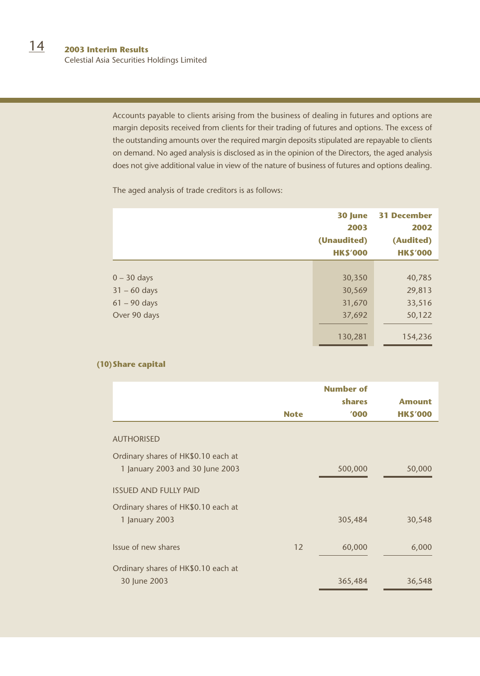Celestial Asia Securities Holdings Limited

Accounts payable to clients arising from the business of dealing in futures and options are margin deposits received from clients for their trading of futures and options. The excess of the outstanding amounts over the required margin deposits stipulated are repayable to clients on demand. No aged analysis is disclosed as in the opinion of the Directors, the aged analysis does not give additional value in view of the nature of business of futures and options dealing.

The aged analysis of trade creditors is as follows:

|                                                                   | 30 June<br>2003<br>(Unaudited)<br><b>HKS'000</b> | <b>31 December</b><br>2002<br>(Audited)<br><b>HKS'000</b> |
|-------------------------------------------------------------------|--------------------------------------------------|-----------------------------------------------------------|
| $0 - 30$ days<br>$31 - 60$ days<br>$61 - 90$ days<br>Over 90 days | 30,350<br>30,569<br>31,670<br>37,692<br>130,281  | 40,785<br>29,813<br>33,516<br>50,122<br>154,236           |

## **(10)Share capital**

|                                                                        |             | <b>Number of</b><br>shares | <b>Amount</b>  |
|------------------------------------------------------------------------|-------------|----------------------------|----------------|
|                                                                        | <b>Note</b> | '000                       | <b>HKS'000</b> |
| <b>AUTHORISED</b>                                                      |             |                            |                |
| Ordinary shares of HK\$0.10 each at<br>1 January 2003 and 30 June 2003 |             | 500,000                    | 50,000         |
| <b>ISSUED AND FULLY PAID</b>                                           |             |                            |                |
| Ordinary shares of HK\$0.10 each at<br>1 January 2003                  |             | 305,484                    | 30,548         |
| Issue of new shares                                                    | 12          | 60,000                     | 6,000          |
| Ordinary shares of HK\$0.10 each at<br>30 June 2003                    |             | 365,484                    | 36,548         |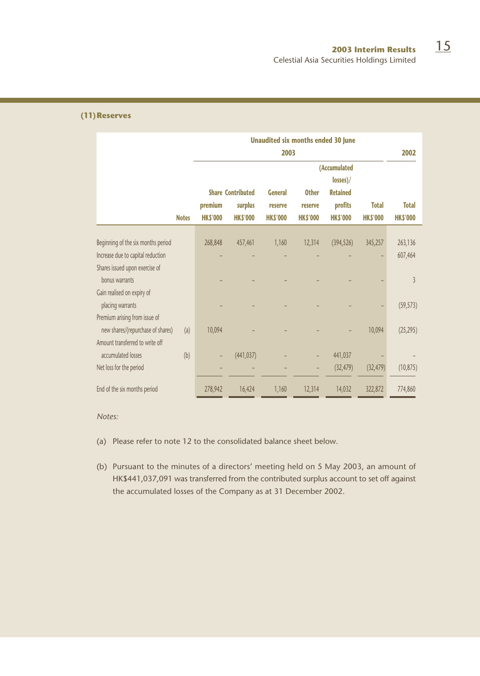#### **(11)Reserves**

|                                    |              |                | <b>Unaudited six months ended 30 June</b><br>2003 |                |                |                 |                |                |  |
|------------------------------------|--------------|----------------|---------------------------------------------------|----------------|----------------|-----------------|----------------|----------------|--|
|                                    |              |                |                                                   |                |                | (Accumulated    |                |                |  |
|                                    |              |                |                                                   |                |                | losses)/        |                |                |  |
|                                    |              |                | <b>Share Contributed</b>                          | <b>General</b> | <b>Other</b>   | <b>Retained</b> |                |                |  |
|                                    |              | premium        | surplus                                           | reserve        | reserve        | profits         | <b>Total</b>   | <b>Total</b>   |  |
|                                    | <b>Notes</b> | <b>HKS'000</b> | <b>HKS'000</b>                                    | <b>HKS'000</b> | <b>HKS'000</b> | <b>HKS'000</b>  | <b>HKS'000</b> | <b>HKS'000</b> |  |
| Beginning of the six months period |              | 268,848        | 457,461                                           | 1,160          | 12,314         | (394, 526)      | 345,257        | 263,136        |  |
| Increase due to capital reduction  |              |                |                                                   |                |                |                 |                | 607,464        |  |
| Shares issued upon exercise of     |              |                |                                                   |                |                |                 |                |                |  |
| bonus warrants                     |              |                |                                                   |                |                |                 |                | $\overline{3}$ |  |
| Gain realised on expiry of         |              |                |                                                   |                |                |                 |                |                |  |
| placing warrants                   |              |                |                                                   |                |                |                 |                | (59, 573)      |  |
| Premium arising from issue of      |              |                |                                                   |                |                |                 |                |                |  |
| new shares/(repurchase of shares)  | (a)          | 10,094         |                                                   |                |                |                 | 10,094         | (25, 295)      |  |
| Amount transferred to write off    |              |                |                                                   |                |                |                 |                |                |  |
| accumulated losses                 | (b)          |                | (441, 037)                                        |                |                | 441,037         |                |                |  |
| Net loss for the period            |              |                |                                                   |                |                | (32, 479)       | (32, 479)      | (10, 875)      |  |
| End of the six months period       |              | 278,942        | 16,424                                            | 1,160          | 12,314         | 14,032          | 322,872        | 774,860        |  |

*Notes:*

- (a) Please refer to note 12 to the consolidated balance sheet below.
- (b) Pursuant to the minutes of a directors' meeting held on 5 May 2003, an amount of HK\$441,037,091 was transferred from the contributed surplus account to set off against the accumulated losses of the Company as at 31 December 2002.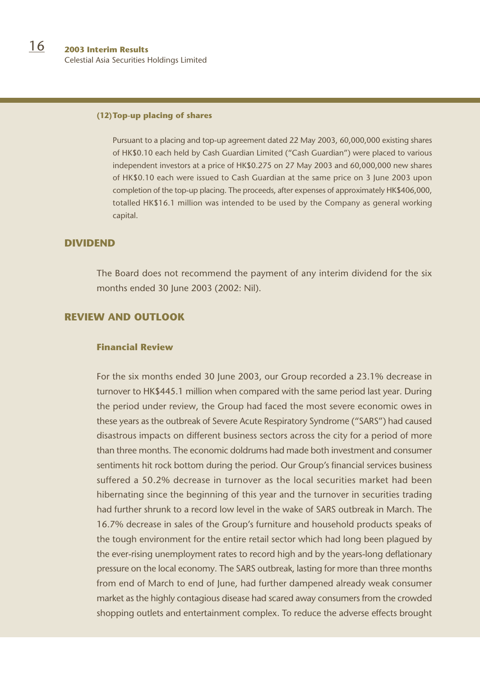#### **(12)Top-up placing of shares**

Pursuant to a placing and top-up agreement dated 22 May 2003, 60,000,000 existing shares of HK\$0.10 each held by Cash Guardian Limited ("Cash Guardian") were placed to various independent investors at a price of HK\$0.275 on 27 May 2003 and 60,000,000 new shares of HK\$0.10 each were issued to Cash Guardian at the same price on 3 June 2003 upon completion of the top-up placing. The proceeds, after expenses of approximately HK\$406,000, totalled HK\$16.1 million was intended to be used by the Company as general working capital.

# **DIVIDEND**

The Board does not recommend the payment of any interim dividend for the six months ended 30 June 2003 (2002: Nil).

# **REVIEW AND OUTLOOK**

#### **Financial Review**

For the six months ended 30 June 2003, our Group recorded a 23.1% decrease in turnover to HK\$445.1 million when compared with the same period last year. During the period under review, the Group had faced the most severe economic owes in these years as the outbreak of Severe Acute Respiratory Syndrome ("SARS") had caused disastrous impacts on different business sectors across the city for a period of more than three months. The economic doldrums had made both investment and consumer sentiments hit rock bottom during the period. Our Group's financial services business suffered a 50.2% decrease in turnover as the local securities market had been hibernating since the beginning of this year and the turnover in securities trading had further shrunk to a record low level in the wake of SARS outbreak in March. The 16.7% decrease in sales of the Group's furniture and household products speaks of the tough environment for the entire retail sector which had long been plagued by the ever-rising unemployment rates to record high and by the years-long deflationary pressure on the local economy. The SARS outbreak, lasting for more than three months from end of March to end of June, had further dampened already weak consumer market as the highly contagious disease had scared away consumers from the crowded shopping outlets and entertainment complex. To reduce the adverse effects brought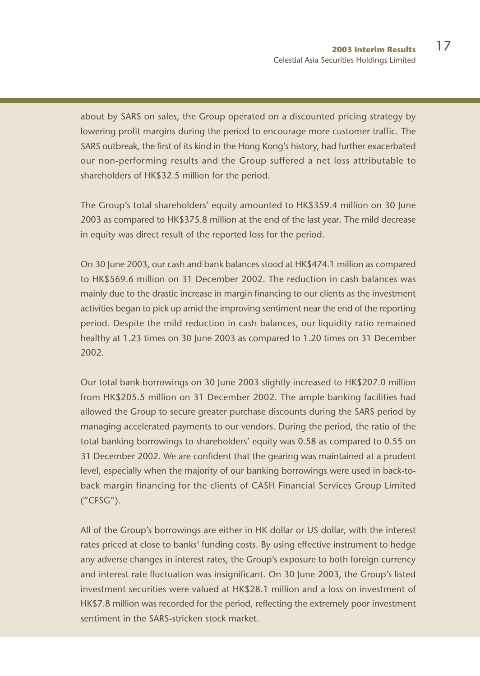about by SARS on sales, the Group operated on a discounted pricing strategy by lowering profit margins during the period to encourage more customer traffic. The SARS outbreak, the first of its kind in the Hong Kong's history, had further exacerbated our non-performing results and the Group suffered a net loss attributable to shareholders of HK\$32.5 million for the period.

The Group's total shareholders' equity amounted to HK\$359.4 million on 30 June 2003 as compared to HK\$375.8 million at the end of the last year. The mild decrease in equity was direct result of the reported loss for the period.

On 30 June 2003, our cash and bank balances stood at HK\$474.1 million as compared to HK\$569.6 million on 31 December 2002. The reduction in cash balances was mainly due to the drastic increase in margin financing to our clients as the investment activities began to pick up amid the improving sentiment near the end of the reporting period. Despite the mild reduction in cash balances, our liquidity ratio remained healthy at 1.23 times on 30 June 2003 as compared to 1.20 times on 31 December 2002.

Our total bank borrowings on 30 June 2003 slightly increased to HK\$207.0 million from HK\$205.5 million on 31 December 2002. The ample banking facilities had allowed the Group to secure greater purchase discounts during the SARS period by managing accelerated payments to our vendors. During the period, the ratio of the total banking borrowings to shareholders' equity was 0.58 as compared to 0.55 on 31 December 2002. We are confident that the gearing was maintained at a prudent level, especially when the majority of our banking borrowings were used in back-toback margin financing for the clients of CASH Financial Services Group Limited ("CFSG").

All of the Group's borrowings are either in HK dollar or US dollar, with the interest rates priced at close to banks' funding costs. By using effective instrument to hedge any adverse changes in interest rates, the Group's exposure to both foreign currency and interest rate fluctuation was insignificant. On 30 June 2003, the Group's listed investment securities were valued at HK\$28.1 million and a loss on investment of HK\$7.8 million was recorded for the period, reflecting the extremely poor investment sentiment in the SARS-stricken stock market.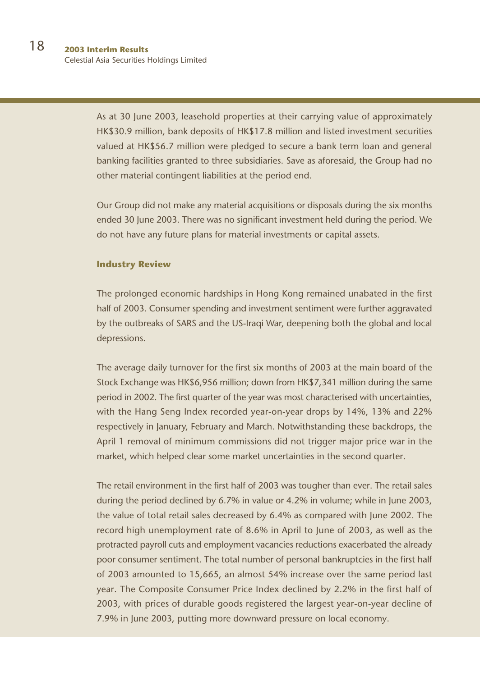As at 30 June 2003, leasehold properties at their carrying value of approximately HK\$30.9 million, bank deposits of HK\$17.8 million and listed investment securities valued at HK\$56.7 million were pledged to secure a bank term loan and general banking facilities granted to three subsidiaries. Save as aforesaid, the Group had no other material contingent liabilities at the period end.

Our Group did not make any material acquisitions or disposals during the six months ended 30 June 2003. There was no significant investment held during the period. We do not have any future plans for material investments or capital assets.

## **Industry Review**

The prolonged economic hardships in Hong Kong remained unabated in the first half of 2003. Consumer spending and investment sentiment were further aggravated by the outbreaks of SARS and the US-Iraqi War, deepening both the global and local depressions.

The average daily turnover for the first six months of 2003 at the main board of the Stock Exchange was HK\$6,956 million; down from HK\$7,341 million during the same period in 2002. The first quarter of the year was most characterised with uncertainties, with the Hang Seng Index recorded year-on-year drops by 14%, 13% and 22% respectively in January, February and March. Notwithstanding these backdrops, the April 1 removal of minimum commissions did not trigger major price war in the market, which helped clear some market uncertainties in the second quarter.

The retail environment in the first half of 2003 was tougher than ever. The retail sales during the period declined by 6.7% in value or 4.2% in volume; while in June 2003, the value of total retail sales decreased by 6.4% as compared with June 2002. The record high unemployment rate of 8.6% in April to June of 2003, as well as the protracted payroll cuts and employment vacancies reductions exacerbated the already poor consumer sentiment. The total number of personal bankruptcies in the first half of 2003 amounted to 15,665, an almost 54% increase over the same period last year. The Composite Consumer Price Index declined by 2.2% in the first half of 2003, with prices of durable goods registered the largest year-on-year decline of 7.9% in June 2003, putting more downward pressure on local economy.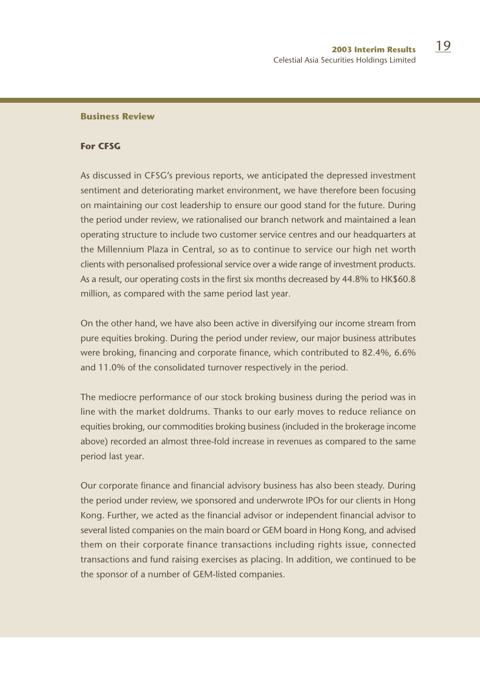## **Business Review**

#### **For CFSG**

As discussed in CFSG's previous reports, we anticipated the depressed investment sentiment and deteriorating market environment, we have therefore been focusing on maintaining our cost leadership to ensure our good stand for the future. During the period under review, we rationalised our branch network and maintained a lean operating structure to include two customer service centres and our headquarters at the Millennium Plaza in Central, so as to continue to service our high net worth clients with personalised professional service over a wide range of investment products. As a result, our operating costs in the first six months decreased by 44.8% to HK\$60.8 million, as compared with the same period last year.

On the other hand, we have also been active in diversifying our income stream from pure equities broking. During the period under review, our major business attributes were broking, financing and corporate finance, which contributed to 82.4%, 6.6% and 11.0% of the consolidated turnover respectively in the period.

The mediocre performance of our stock broking business during the period was in line with the market doldrums. Thanks to our early moves to reduce reliance on equities broking, our commodities broking business (included in the brokerage income above) recorded an almost three-fold increase in revenues as compared to the same period last year.

Our corporate finance and financial advisory business has also been steady. During the period under review, we sponsored and underwrote IPOs for our clients in Hong Kong. Further, we acted as the financial advisor or independent financial advisor to several listed companies on the main board or GEM board in Hong Kong, and advised them on their corporate finance transactions including rights issue, connected transactions and fund raising exercises as placing. In addition, we continued to be the sponsor of a number of GEM-listed companies.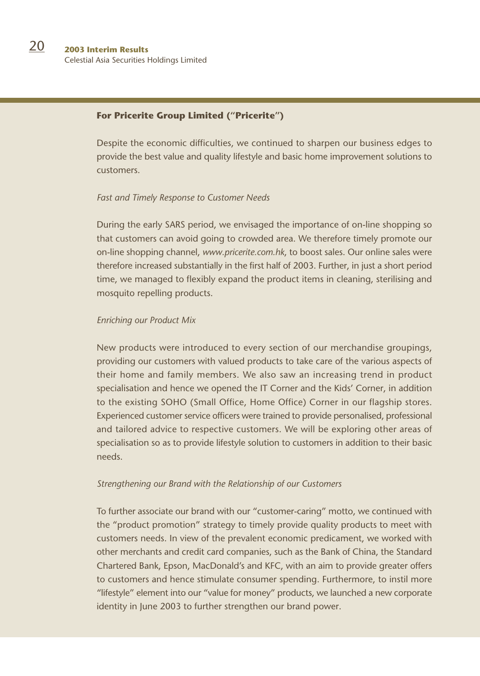## **For Pricerite Group Limited ("Pricerite")**

Despite the economic difficulties, we continued to sharpen our business edges to provide the best value and quality lifestyle and basic home improvement solutions to customers.

#### *Fast and Timely Response to Customer Needs*

During the early SARS period, we envisaged the importance of on-line shopping so that customers can avoid going to crowded area. We therefore timely promote our on-line shopping channel, *www.pricerite.com.hk*, to boost sales. Our online sales were therefore increased substantially in the first half of 2003. Further, in just a short period time, we managed to flexibly expand the product items in cleaning, sterilising and mosquito repelling products.

## *Enriching our Product Mix*

New products were introduced to every section of our merchandise groupings, providing our customers with valued products to take care of the various aspects of their home and family members. We also saw an increasing trend in product specialisation and hence we opened the IT Corner and the Kids' Corner, in addition to the existing SOHO (Small Office, Home Office) Corner in our flagship stores. Experienced customer service officers were trained to provide personalised, professional and tailored advice to respective customers. We will be exploring other areas of specialisation so as to provide lifestyle solution to customers in addition to their basic needs.

#### *Strengthening our Brand with the Relationship of our Customers*

To further associate our brand with our "customer-caring" motto, we continued with the "product promotion" strategy to timely provide quality products to meet with customers needs. In view of the prevalent economic predicament, we worked with other merchants and credit card companies, such as the Bank of China, the Standard Chartered Bank, Epson, MacDonald's and KFC, with an aim to provide greater offers to customers and hence stimulate consumer spending. Furthermore, to instil more "lifestyle" element into our "value for money" products, we launched a new corporate identity in June 2003 to further strengthen our brand power.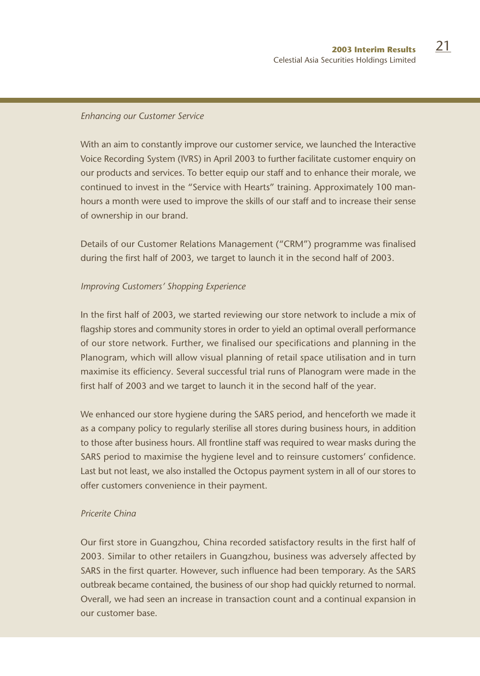#### *Enhancing our Customer Service*

With an aim to constantly improve our customer service, we launched the Interactive Voice Recording System (IVRS) in April 2003 to further facilitate customer enquiry on our products and services. To better equip our staff and to enhance their morale, we continued to invest in the "Service with Hearts" training. Approximately 100 manhours a month were used to improve the skills of our staff and to increase their sense of ownership in our brand.

Details of our Customer Relations Management ("CRM") programme was finalised during the first half of 2003, we target to launch it in the second half of 2003.

## *Improving Customers' Shopping Experience*

In the first half of 2003, we started reviewing our store network to include a mix of flagship stores and community stores in order to yield an optimal overall performance of our store network. Further, we finalised our specifications and planning in the Planogram, which will allow visual planning of retail space utilisation and in turn maximise its efficiency. Several successful trial runs of Planogram were made in the first half of 2003 and we target to launch it in the second half of the year.

We enhanced our store hygiene during the SARS period, and henceforth we made it as a company policy to regularly sterilise all stores during business hours, in addition to those after business hours. All frontline staff was required to wear masks during the SARS period to maximise the hygiene level and to reinsure customers' confidence. Last but not least, we also installed the Octopus payment system in all of our stores to offer customers convenience in their payment.

# *Pricerite China*

Our first store in Guangzhou, China recorded satisfactory results in the first half of 2003. Similar to other retailers in Guangzhou, business was adversely affected by SARS in the first quarter. However, such influence had been temporary. As the SARS outbreak became contained, the business of our shop had quickly returned to normal. Overall, we had seen an increase in transaction count and a continual expansion in our customer base.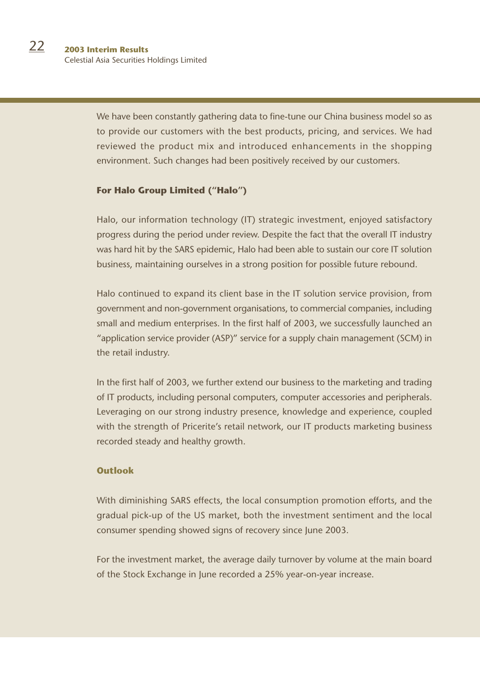We have been constantly gathering data to fine-tune our China business model so as to provide our customers with the best products, pricing, and services. We had reviewed the product mix and introduced enhancements in the shopping environment. Such changes had been positively received by our customers.

## **For Halo Group Limited ("Halo")**

Halo, our information technology (IT) strategic investment, enjoyed satisfactory progress during the period under review. Despite the fact that the overall IT industry was hard hit by the SARS epidemic, Halo had been able to sustain our core IT solution business, maintaining ourselves in a strong position for possible future rebound.

Halo continued to expand its client base in the IT solution service provision, from government and non-government organisations, to commercial companies, including small and medium enterprises. In the first half of 2003, we successfully launched an "application service provider (ASP)" service for a supply chain management (SCM) in the retail industry.

In the first half of 2003, we further extend our business to the marketing and trading of IT products, including personal computers, computer accessories and peripherals. Leveraging on our strong industry presence, knowledge and experience, coupled with the strength of Pricerite's retail network, our IT products marketing business recorded steady and healthy growth.

## **Outlook**

With diminishing SARS effects, the local consumption promotion efforts, and the gradual pick-up of the US market, both the investment sentiment and the local consumer spending showed signs of recovery since June 2003.

For the investment market, the average daily turnover by volume at the main board of the Stock Exchange in June recorded a 25% year-on-year increase.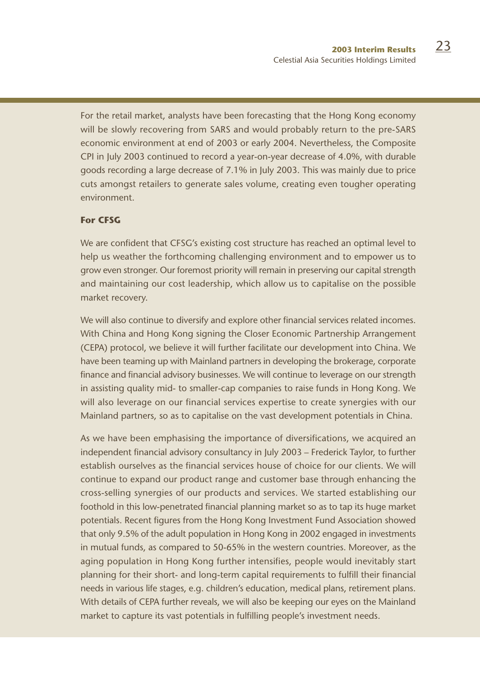For the retail market, analysts have been forecasting that the Hong Kong economy will be slowly recovering from SARS and would probably return to the pre-SARS economic environment at end of 2003 or early 2004. Nevertheless, the Composite CPI in July 2003 continued to record a year-on-year decrease of 4.0%, with durable goods recording a large decrease of 7.1% in July 2003. This was mainly due to price cuts amongst retailers to generate sales volume, creating even tougher operating environment.

# **For CFSG**

We are confident that CFSG's existing cost structure has reached an optimal level to help us weather the forthcoming challenging environment and to empower us to grow even stronger. Our foremost priority will remain in preserving our capital strength and maintaining our cost leadership, which allow us to capitalise on the possible market recovery.

We will also continue to diversify and explore other financial services related incomes. With China and Hong Kong signing the Closer Economic Partnership Arrangement (CEPA) protocol, we believe it will further facilitate our development into China. We have been teaming up with Mainland partners in developing the brokerage, corporate finance and financial advisory businesses. We will continue to leverage on our strength in assisting quality mid- to smaller-cap companies to raise funds in Hong Kong. We will also leverage on our financial services expertise to create synergies with our Mainland partners, so as to capitalise on the vast development potentials in China.

As we have been emphasising the importance of diversifications, we acquired an independent financial advisory consultancy in July 2003 – Frederick Taylor, to further establish ourselves as the financial services house of choice for our clients. We will continue to expand our product range and customer base through enhancing the cross-selling synergies of our products and services. We started establishing our foothold in this low-penetrated financial planning market so as to tap its huge market potentials. Recent figures from the Hong Kong Investment Fund Association showed that only 9.5% of the adult population in Hong Kong in 2002 engaged in investments in mutual funds, as compared to 50-65% in the western countries. Moreover, as the aging population in Hong Kong further intensifies, people would inevitably start planning for their short- and long-term capital requirements to fulfill their financial needs in various life stages, e.g. children's education, medical plans, retirement plans. With details of CEPA further reveals, we will also be keeping our eyes on the Mainland market to capture its vast potentials in fulfilling people's investment needs.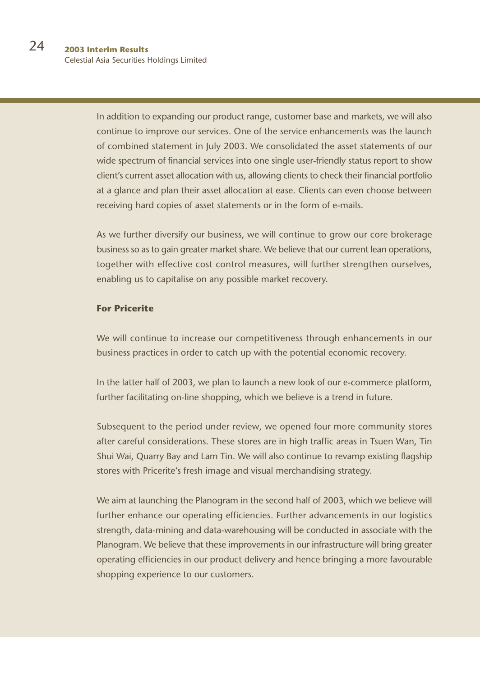In addition to expanding our product range, customer base and markets, we will also continue to improve our services. One of the service enhancements was the launch of combined statement in July 2003. We consolidated the asset statements of our wide spectrum of financial services into one single user-friendly status report to show client's current asset allocation with us, allowing clients to check their financial portfolio at a glance and plan their asset allocation at ease. Clients can even choose between receiving hard copies of asset statements or in the form of e-mails.

As we further diversify our business, we will continue to grow our core brokerage business so as to gain greater market share. We believe that our current lean operations, together with effective cost control measures, will further strengthen ourselves, enabling us to capitalise on any possible market recovery.

# **For Pricerite**

We will continue to increase our competitiveness through enhancements in our business practices in order to catch up with the potential economic recovery.

In the latter half of 2003, we plan to launch a new look of our e-commerce platform, further facilitating on-line shopping, which we believe is a trend in future.

Subsequent to the period under review, we opened four more community stores after careful considerations. These stores are in high traffic areas in Tsuen Wan, Tin Shui Wai, Quarry Bay and Lam Tin. We will also continue to revamp existing flagship stores with Pricerite's fresh image and visual merchandising strategy.

We aim at launching the Planogram in the second half of 2003, which we believe will further enhance our operating efficiencies. Further advancements in our logistics strength, data-mining and data-warehousing will be conducted in associate with the Planogram. We believe that these improvements in our infrastructure will bring greater operating efficiencies in our product delivery and hence bringing a more favourable shopping experience to our customers.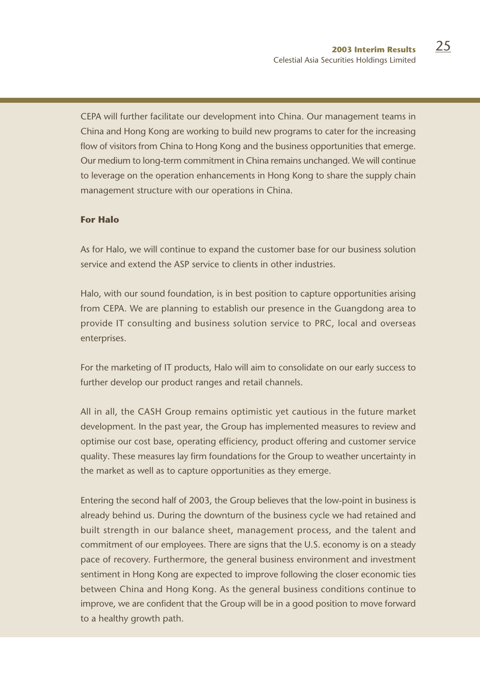CEPA will further facilitate our development into China. Our management teams in China and Hong Kong are working to build new programs to cater for the increasing flow of visitors from China to Hong Kong and the business opportunities that emerge. Our medium to long-term commitment in China remains unchanged. We will continue to leverage on the operation enhancements in Hong Kong to share the supply chain management structure with our operations in China.

## **For Halo**

As for Halo, we will continue to expand the customer base for our business solution service and extend the ASP service to clients in other industries.

Halo, with our sound foundation, is in best position to capture opportunities arising from CEPA. We are planning to establish our presence in the Guangdong area to provide IT consulting and business solution service to PRC, local and overseas enterprises.

For the marketing of IT products, Halo will aim to consolidate on our early success to further develop our product ranges and retail channels.

All in all, the CASH Group remains optimistic yet cautious in the future market development. In the past year, the Group has implemented measures to review and optimise our cost base, operating efficiency, product offering and customer service quality. These measures lay firm foundations for the Group to weather uncertainty in the market as well as to capture opportunities as they emerge.

Entering the second half of 2003, the Group believes that the low-point in business is already behind us. During the downturn of the business cycle we had retained and built strength in our balance sheet, management process, and the talent and commitment of our employees. There are signs that the U.S. economy is on a steady pace of recovery. Furthermore, the general business environment and investment sentiment in Hong Kong are expected to improve following the closer economic ties between China and Hong Kong. As the general business conditions continue to improve, we are confident that the Group will be in a good position to move forward to a healthy growth path.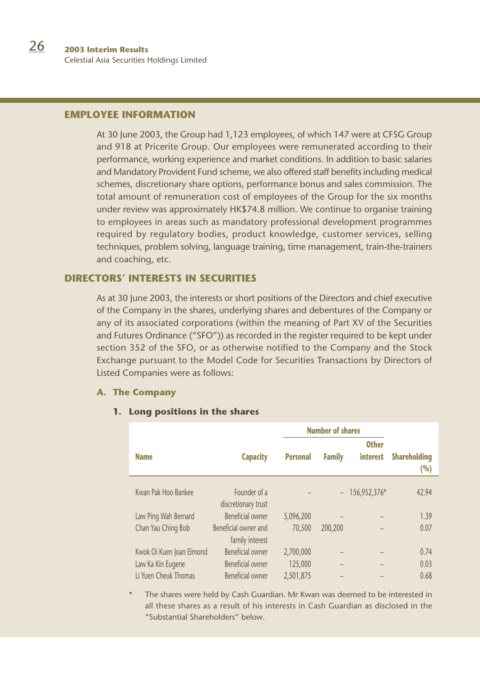# **EMPLOYEE INFORMATION**

At 30 June 2003, the Group had 1,123 employees, of which 147 were at CFSG Group and 918 at Pricerite Group. Our employees were remunerated according to their performance, working experience and market conditions. In addition to basic salaries and Mandatory Provident Fund scheme, we also offered staff benefits including medical schemes, discretionary share options, performance bonus and sales commission. The total amount of remuneration cost of employees of the Group for the six months under review was approximately HK\$74.8 million. We continue to organise training to employees in areas such as mandatory professional development programmes required by regulatory bodies, product knowledge, customer services, selling techniques, problem solving, language training, time management, train-the-trainers and coaching, etc.

# **DIRECTORS' INTERESTS IN SECURITIES**

As at 30 June 2003, the interests or short positions of the Directors and chief executive of the Company in the shares, underlying shares and debentures of the Company or any of its associated corporations (within the meaning of Part XV of the Securities and Futures Ordinance ("SFO")) as recorded in the register required to be kept under section 352 of the SFO, or as otherwise notified to the Company and the Stock Exchange pursuant to the Model Code for Securities Transactions by Directors of Listed Companies were as follows:

## **A. The Company**

## **1. Long positions in the shares**

|                          |                                         | <b>Number of shares</b> |               |                                 |                            |
|--------------------------|-----------------------------------------|-------------------------|---------------|---------------------------------|----------------------------|
| <b>Name</b>              | <b>Capacity</b>                         | <b>Personal</b>         | <b>Family</b> | <b>Other</b><br><b>interest</b> | <b>Shareholding</b><br>(%) |
| Kwan Pak Hoo Bankee      | Founder of a<br>discretionary trust     |                         | $ \,$         | 156,952,376*                    | 42.94                      |
| Law Ping Wah Bernard     | Beneficial owner                        | 5,096,200               |               |                                 | 1.39                       |
| Chan Yau Ching Bob       | Beneficial owner and<br>family interest | 70,500                  | 200,200       |                                 | 0.07                       |
| Kwok Oi Kuen Joan Elmond | Beneficial owner                        | 2.700.000               |               |                                 | 0.74                       |
| Law Ka Kin Eugene        | <b>Beneficial owner</b>                 | 125,000                 | -             |                                 | 0.03                       |
| Li Yuen Cheuk Thomas     | Beneficial owner                        | 2.501.875               |               |                                 | 0.68                       |

The shares were held by Cash Guardian. Mr Kwan was deemed to be interested in all these shares as a result of his interests in Cash Guardian as disclosed in the "Substantial Shareholders" below.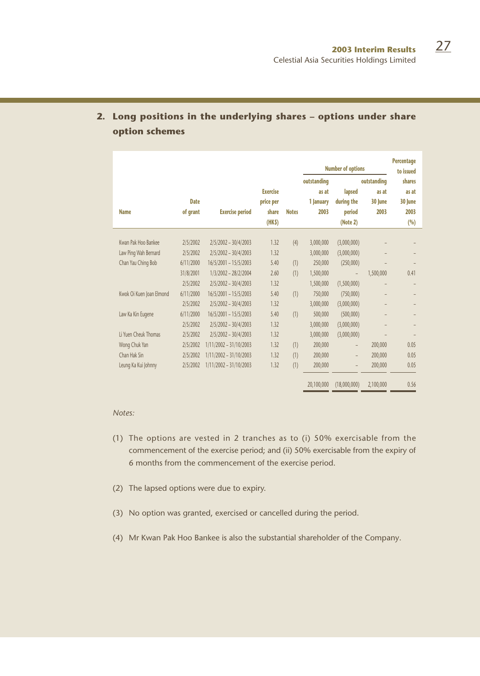|                          |                         |                        |                                                |              | <b>Number of options</b>                  |                                            |                                         | <b>Percentage</b><br>to issued             |
|--------------------------|-------------------------|------------------------|------------------------------------------------|--------------|-------------------------------------------|--------------------------------------------|-----------------------------------------|--------------------------------------------|
| <b>Name</b>              | <b>Date</b><br>of grant | <b>Exercise period</b> | <b>Exercise</b><br>price per<br>share<br>(HKS) | <b>Notes</b> | outstanding<br>as at<br>1 lanuary<br>2003 | lapsed<br>during the<br>period<br>(Note 2) | outstanding<br>as at<br>30 lune<br>2003 | shares<br>as at<br>30 lune<br>2003<br>(96) |
| Kwan Pak Hoo Bankee      |                         |                        | 1.32                                           |              |                                           |                                            |                                         |                                            |
|                          | 2/5/2002                | $2/5/2002 - 30/4/2003$ |                                                | (4)          | 3,000,000                                 | (3,000,000)                                |                                         |                                            |
| Law Ping Wah Bernard     | 2/5/2002                | 2/5/2002 - 30/4/2003   | 1.32                                           |              | 3.000.000                                 | (3,000,000)                                |                                         |                                            |
| Chan Yau Ching Bob       | 6/11/2000               | 16/5/2001 - 15/5/2003  | 5.40                                           | (1)          | 250,000                                   | (250,000)                                  |                                         |                                            |
|                          | 31/8/2001               | 1/3/2002 - 28/2/2004   | 2.60                                           | (1)          | 1,500,000                                 |                                            | 1,500,000                               | 0.41                                       |
|                          | 2/5/2002                | 2/5/2002 - 30/4/2003   | 1.32                                           |              | 1,500,000                                 | (1,500,000)                                |                                         |                                            |
| Kwok Oi Kuen Joan Elmond | 6/11/2000               | 16/5/2001 - 15/5/2003  | 5.40                                           | (1)          | 750,000                                   | (750,000)                                  |                                         |                                            |
|                          | 2/5/2002                | $2/5/2002 - 30/4/2003$ | 1.32                                           |              | 3,000,000                                 | (3,000,000)                                |                                         |                                            |
| Law Ka Kin Eugene        | 6/11/2000               | 16/5/2001 - 15/5/2003  | 5.40                                           | (1)          | 500.000                                   | (500,000)                                  |                                         |                                            |
|                          | 2/5/2002                | 2/5/2002 - 30/4/2003   | 1.32                                           |              | 3,000,000                                 | (3,000,000)                                |                                         |                                            |
| Li Yuen Cheuk Thomas     | 2/5/2002                | 2/5/2002 - 30/4/2003   | 1.32                                           |              | 3.000.000                                 | (3,000,000)                                |                                         |                                            |
| Wong Chuk Yan            | 2/5/2002                | 1/11/2002 - 31/10/2003 | 1.32                                           | (1)          | 200,000                                   | $\overline{a}$                             | 200,000                                 | 0.05                                       |
| Chan Hak Sin             | 2/5/2002                | 1/11/2002 - 31/10/2003 | 1.32                                           | (1)          | 200,000                                   | $\overline{a}$                             | 200,000                                 | 0.05                                       |
| Leung Ka Kui Johnny      | 2/5/2002                | 1/11/2002 - 31/10/2003 | 1.32                                           | (1)          | 200,000                                   |                                            | 200,000                                 | 0.05                                       |
|                          |                         |                        |                                                |              | 20,100,000                                | (18,000,000)                               | 2,100,000                               | 0.56                                       |

# **2. Long positions in the underlying shares – options under share option schemes**

#### *Notes:*

- (1) The options are vested in 2 tranches as to (i) 50% exercisable from the commencement of the exercise period; and (ii) 50% exercisable from the expiry of 6 months from the commencement of the exercise period.
- (2) The lapsed options were due to expiry.
- (3) No option was granted, exercised or cancelled during the period.
- (4) Mr Kwan Pak Hoo Bankee is also the substantial shareholder of the Company.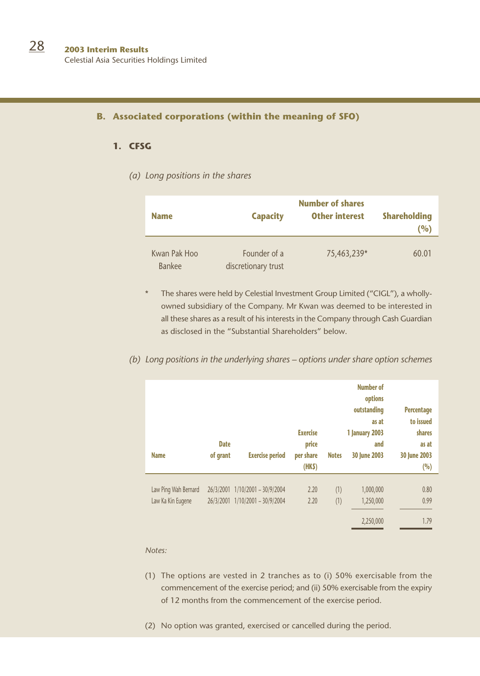#### **B. Associated corporations (within the meaning of SFO)**

## **1. CFSG**

## *(a) Long positions in the shares*

| <b>Name</b>            | <b>Capacity</b>                     | <b>Number of shares</b><br><b>Other interest</b> | <b>Shareholding</b><br>(%) |
|------------------------|-------------------------------------|--------------------------------------------------|----------------------------|
| Kwan Pak Hoo<br>Bankee | Founder of a<br>discretionary trust | 75,463,239*                                      | 60.01                      |

The shares were held by Celestial Investment Group Limited ("CIGL"), a whollyowned subsidiary of the Company. Mr Kwan was deemed to be interested in all these shares as a result of his interests in the Company through Cash Guardian as disclosed in the "Substantial Shareholders" below.

## *(b) Long positions in the underlying shares – options under share option schemes*

| <b>Name</b>          | <b>Date</b><br>of grant | <b>Exercise period</b>  | <b>Exercise</b><br>price<br>per share<br>(HK <sub>5</sub> ) | <b>Notes</b> | <b>Number of</b><br>options<br>outstanding<br>as at<br><b>1 January 2003</b><br>and<br>30 June 2003 | <b>Percentage</b><br>to issued<br>shares<br>as at<br>30 June 2003<br>(%) |
|----------------------|-------------------------|-------------------------|-------------------------------------------------------------|--------------|-----------------------------------------------------------------------------------------------------|--------------------------------------------------------------------------|
| Law Ping Wah Bernard | 26/3/2001               | $1/10/2001 - 30/9/2004$ | 2.20                                                        | (1)          | 1,000,000                                                                                           | 0.80                                                                     |
| Law Ka Kin Eugene    | 26/3/2001               | $1/10/2001 - 30/9/2004$ | 2.20                                                        | (1)          | 1,250,000                                                                                           | 0.99                                                                     |
|                      |                         |                         |                                                             |              | 2,250,000                                                                                           | 1.79                                                                     |

*Notes:*

- (1) The options are vested in 2 tranches as to (i) 50% exercisable from the commencement of the exercise period; and (ii) 50% exercisable from the expiry of 12 months from the commencement of the exercise period.
- (2) No option was granted, exercised or cancelled during the period.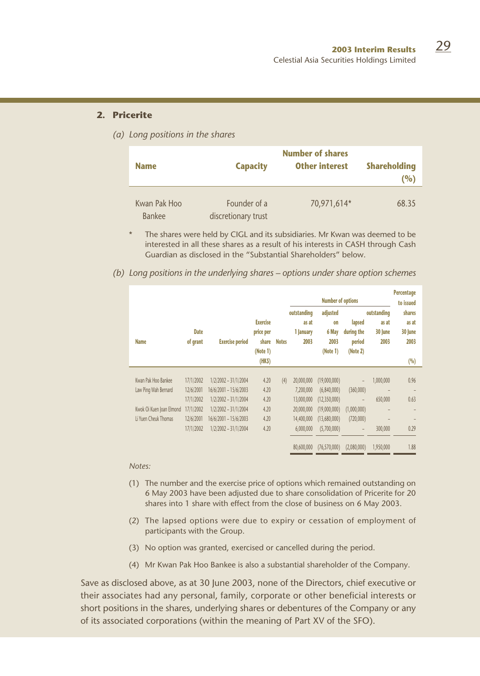#### **2. Pricerite**

*(a) Long positions in the shares*

|                               |                                     | <b>Number of shares</b> |                            |  |  |  |
|-------------------------------|-------------------------------------|-------------------------|----------------------------|--|--|--|
| <b>Name</b>                   | <b>Capacity</b>                     | <b>Other interest</b>   | <b>Shareholding</b><br>(%) |  |  |  |
| Kwan Pak Hoo<br><b>Bankee</b> | Founder of a<br>discretionary trust | 70,971,614*             | 68.35                      |  |  |  |

The shares were held by CIGL and its subsidiaries. Mr Kwan was deemed to be interested in all these shares as a result of his interests in CASH through Cash Guardian as disclosed in the "Substantial Shareholders" below.

*(b) Long positions in the underlying shares – options under share option schemes*

|                          |                         |                        |                                                   |              | <b>Number of options</b>                  |                                                    |                                            | Percentage<br>to issued                 |                                    |
|--------------------------|-------------------------|------------------------|---------------------------------------------------|--------------|-------------------------------------------|----------------------------------------------------|--------------------------------------------|-----------------------------------------|------------------------------------|
| <b>Name</b>              | <b>Date</b><br>of grant | <b>Exercise period</b> | <b>Exercise</b><br>price per<br>share<br>(Note 1) | <b>Notes</b> | outstanding<br>as at<br>1 January<br>2003 | adjusted<br><b>on</b><br>6 May<br>2003<br>(Note 1) | lapsed<br>during the<br>period<br>(Note 2) | outstanding<br>as at<br>30 June<br>2003 | shares<br>as at<br>30 June<br>2003 |
|                          |                         |                        | (HKS)                                             |              |                                           |                                                    |                                            |                                         | (%)                                |
| Kwan Pak Hoo Bankee      | 17/1/2002               | 1/2/2002 - 31/1/2004   | 4.20                                              | (4)          | 20,000,000                                | (19,000,000)                                       | $\overline{a}$                             | 1,000,000                               | 0.96                               |
| Law Ping Wah Bernard     | 12/6/2001               | 16/6/2001 - 15/6/2003  | 4.20                                              |              | 7.200.000                                 | (6,840,000)                                        | (360,000)                                  |                                         |                                    |
|                          | 17/1/2002               | 1/2/2002 - 31/1/2004   | 4.20                                              |              | 13,000,000                                | (12,350,000)                                       | $\overline{a}$                             | 650,000                                 | 0.63                               |
| Kwok Oi Kuen Joan Elmond | 17/1/2002               | 1/2/2002 - 31/1/2004   | 4.20                                              |              | 20,000,000                                | (19,000,000)                                       | (1,000,000)                                |                                         |                                    |
| Li Yuen Cheuk Thomas     | 12/6/2001               | 16/6/2001 - 15/6/2003  | 4.20                                              |              | 14,400,000                                | (13.680.000)                                       | (720,000)                                  |                                         |                                    |
|                          | 17/1/2002               | 1/2/2002 - 31/1/2004   | 4.20                                              |              | 6.000.000                                 | (5,700,000)                                        | $\overline{\phantom{a}}$                   | 300,000                                 | 0.29                               |
|                          |                         |                        |                                                   |              |                                           |                                                    |                                            |                                         |                                    |
|                          |                         |                        |                                                   |              | 80,600,000                                | (76, 570, 000)                                     | (2,080,000)                                | 1,950,000                               | 1.88                               |

#### *Notes:*

- (1) The number and the exercise price of options which remained outstanding on 6 May 2003 have been adjusted due to share consolidation of Pricerite for 20 shares into 1 share with effect from the close of business on 6 May 2003.
- (2) The lapsed options were due to expiry or cessation of employment of participants with the Group.
- (3) No option was granted, exercised or cancelled during the period.
- (4) Mr Kwan Pak Hoo Bankee is also a substantial shareholder of the Company.

Save as disclosed above, as at 30 June 2003, none of the Directors, chief executive or their associates had any personal, family, corporate or other beneficial interests or short positions in the shares, underlying shares or debentures of the Company or any of its associated corporations (within the meaning of Part XV of the SFO).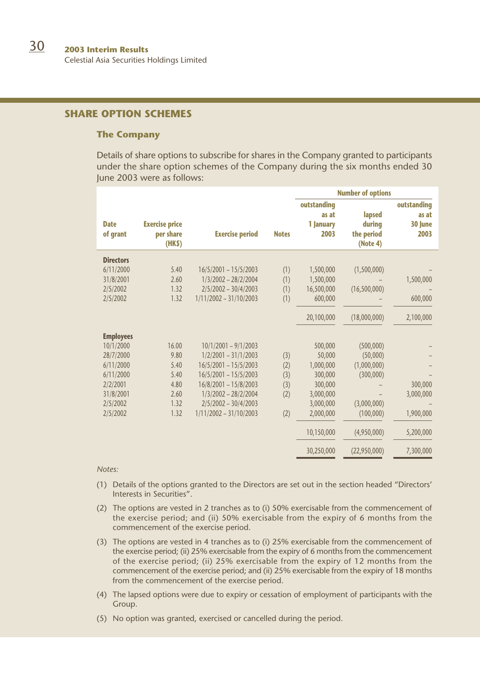# **SHARE OPTION SCHEMES**

#### **The Company**

Details of share options to subscribe for shares in the Company granted to participants under the share option schemes of the Company during the six months ended 30 June 2003 were as follows:

|                         |                                             |                          |              |                                           | <b>Number of options</b>                   |                                         |
|-------------------------|---------------------------------------------|--------------------------|--------------|-------------------------------------------|--------------------------------------------|-----------------------------------------|
| <b>Date</b><br>of grant | <b>Exercise price</b><br>per share<br>(HKS) | <b>Exercise period</b>   | <b>Notes</b> | outstanding<br>as at<br>1 January<br>2003 | lapsed<br>during<br>the period<br>(Note 4) | outstanding<br>as at<br>30 June<br>2003 |
| <b>Directors</b>        |                                             |                          |              |                                           |                                            |                                         |
| 6/11/2000               | 5.40                                        | $16/5/2001 - 15/5/2003$  | (1)          | 1,500,000                                 | (1,500,000)                                |                                         |
| 31/8/2001               | 2.60                                        | 1/3/2002 - 28/2/2004     | (1)          | 1,500,000                                 |                                            | 1,500,000                               |
| 2/5/2002                | 1.32                                        | 2/5/2002 - 30/4/2003     | (1)          | 16,500,000                                | (16,500,000)                               |                                         |
| 2/5/2002                | 1.32                                        | $1/11/2002 - 31/10/2003$ | (1)          | 600.000                                   |                                            | 600,000                                 |
|                         |                                             |                          |              | 20,100,000                                | (18,000,000)                               | 2,100,000                               |
| <b>Employees</b>        |                                             |                          |              |                                           |                                            |                                         |
| 10/1/2000               | 16.00                                       | 10/1/2001 - 9/1/2003     |              | 500,000                                   | (500,000)                                  |                                         |
| 28/7/2000               | 9.80                                        | 1/2/2001 - 31/1/2003     | (3)          | 50,000                                    | (50,000)                                   |                                         |
| 6/11/2000               | 5.40                                        | $16/5/2001 - 15/5/2003$  | (2)          | 1,000,000                                 | (1,000,000)                                |                                         |
| 6/11/2000               | 5.40                                        | $16/5/2001 - 15/5/2003$  | (3)          | 300,000                                   | (300,000)                                  |                                         |
| 2/2/2001                | 4.80                                        | 16/8/2001 - 15/8/2003    | (3)          | 300,000                                   |                                            | 300,000                                 |
| 31/8/2001               | 2.60                                        | 1/3/2002 - 28/2/2004     | (2)          | 3,000,000                                 |                                            | 3,000,000                               |
| 2/5/2002                | 1.32                                        | $2/5/2002 - 30/4/2003$   |              | 3,000,000                                 | (3,000,000)                                |                                         |
| 2/5/2002                | 1.32                                        | $1/11/2002 - 31/10/2003$ | (2)          | 2.000.000                                 | (100,000)                                  | 1,900,000                               |
|                         |                                             |                          |              | 10.150.000                                | (4,950,000)                                | 5,200,000                               |
|                         |                                             |                          |              | 30,250,000                                | (22,950,000)                               | 7,300,000                               |

*Notes:*

- (1) Details of the options granted to the Directors are set out in the section headed "Directors' Interests in Securities".
- (2) The options are vested in 2 tranches as to (i) 50% exercisable from the commencement of the exercise period; and (ii) 50% exercisable from the expiry of 6 months from the commencement of the exercise period.
- (3) The options are vested in 4 tranches as to (i) 25% exercisable from the commencement of the exercise period; (ii) 25% exercisable from the expiry of 6 months from the commencement of the exercise period; (ii) 25% exercisable from the expiry of 12 months from the commencement of the exercise period; and (ii) 25% exercisable from the expiry of 18 months from the commencement of the exercise period.
- (4) The lapsed options were due to expiry or cessation of employment of participants with the Group.
- (5) No option was granted, exercised or cancelled during the period.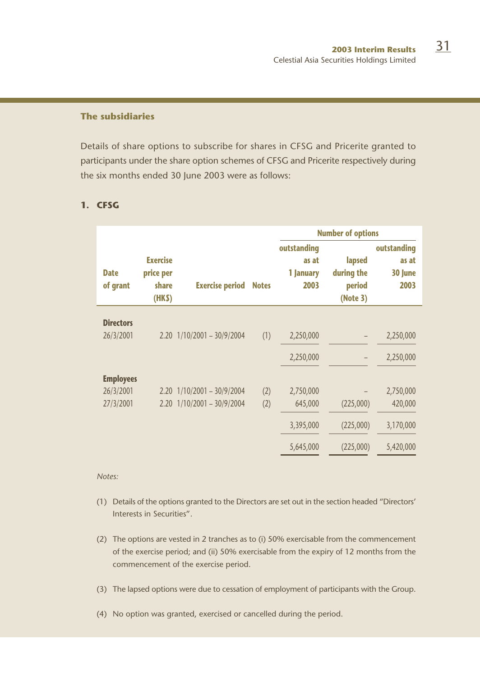# **The subsidiaries**

Details of share options to subscribe for shares in CFSG and Pricerite granted to participants under the share option schemes of CFSG and Pricerite respectively during the six months ended 30 June 2003 were as follows:

|                         |                                                |                                |              |                                           | <b>Number of options</b>                   |                                         |  |
|-------------------------|------------------------------------------------|--------------------------------|--------------|-------------------------------------------|--------------------------------------------|-----------------------------------------|--|
| <b>Date</b><br>of grant | <b>Exercise</b><br>price per<br>share<br>(HKS) | <b>Exercise period</b>         | <b>Notes</b> | outstanding<br>as at<br>1 January<br>2003 | lapsed<br>during the<br>period<br>(Note 3) | outstanding<br>as at<br>30 June<br>2003 |  |
|                         |                                                |                                |              |                                           |                                            |                                         |  |
| <b>Directors</b>        |                                                |                                |              |                                           |                                            |                                         |  |
| 26/3/2001               |                                                | $2.20$ $1/10/2001 - 30/9/2004$ | (1)          | 2,250,000                                 |                                            | 2,250,000                               |  |
|                         |                                                |                                |              | 2,250,000                                 |                                            | 2,250,000                               |  |
|                         |                                                |                                |              |                                           |                                            |                                         |  |
| <b>Employees</b>        |                                                |                                |              |                                           |                                            |                                         |  |
| 26/3/2001               |                                                | $2.20$ $1/10/2001 - 30/9/2004$ | (2)          | 2,750,000                                 |                                            | 2,750,000                               |  |
| 27/3/2001               |                                                | $2.20$ $1/10/2001 - 30/9/2004$ | (2)          | 645,000                                   | (225,000)                                  | 420,000                                 |  |
|                         |                                                |                                |              | 3,395,000                                 | (225,000)                                  | 3,170,000                               |  |
|                         |                                                |                                |              | 5,645,000                                 | (225,000)                                  | 5,420,000                               |  |

# **1. CFSG**

*Notes:*

- (1) Details of the options granted to the Directors are set out in the section headed "Directors' Interests in Securities".
- (2) The options are vested in 2 tranches as to (i) 50% exercisable from the commencement of the exercise period; and (ii) 50% exercisable from the expiry of 12 months from the commencement of the exercise period.
- (3) The lapsed options were due to cessation of employment of participants with the Group.

(4) No option was granted, exercised or cancelled during the period.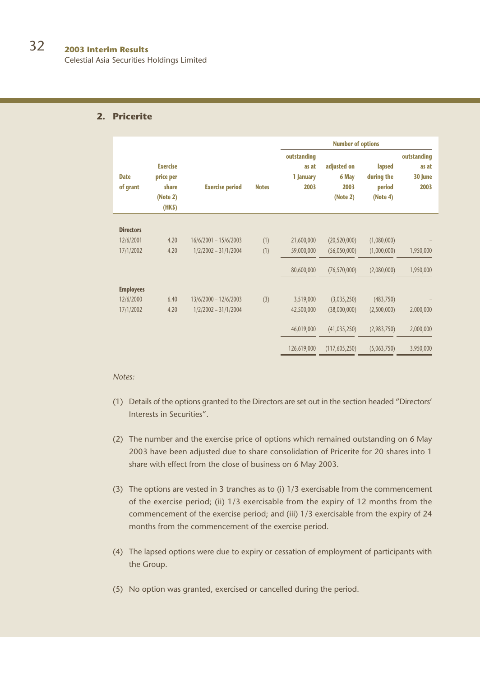Celestial Asia Securities Holdings Limited

# **2. Pricerite**

|                         |                                                            |                         |              | <b>Number of options</b>                  |                                          |                                            |                                         |
|-------------------------|------------------------------------------------------------|-------------------------|--------------|-------------------------------------------|------------------------------------------|--------------------------------------------|-----------------------------------------|
| <b>Date</b><br>of grant | <b>Exercise</b><br>price per<br>share<br>(Note 2)<br>(HKS) | <b>Exercise period</b>  | <b>Notes</b> | outstanding<br>as at<br>1 January<br>2003 | adjusted on<br>6 May<br>2003<br>(Note 2) | lapsed<br>during the<br>period<br>(Note 4) | outstanding<br>as at<br>30 June<br>2003 |
|                         |                                                            |                         |              |                                           |                                          |                                            |                                         |
| <b>Directors</b>        |                                                            |                         |              |                                           |                                          |                                            |                                         |
| 12/6/2001               | 4.20                                                       | $16/6/2001 - 15/6/2003$ | (1)          | 21,600,000                                | (20, 520, 000)                           | (1,080,000)                                |                                         |
| 17/1/2002               | 4.20                                                       | $1/2/2002 - 31/1/2004$  | (1)          | 59,000,000                                | (56,050,000)                             | (1,000,000)                                | 1,950,000                               |
|                         |                                                            |                         |              | 80,600,000                                | (76, 570, 000)                           | (2,080,000)                                | 1,950,000                               |
| <b>Employees</b>        |                                                            |                         |              |                                           |                                          |                                            |                                         |
| 12/6/2000               | 6.40                                                       | 13/6/2000 - 12/6/2003   | (3)          | 3,519,000                                 | (3,035,250)                              | (483, 750)                                 |                                         |
| 17/1/2002               | 4.20                                                       | $1/2/2002 - 31/1/2004$  |              | 42,500,000                                | (38,000,000)                             | (2,500,000)                                | 2,000,000                               |
|                         |                                                            |                         |              | 46,019,000                                | (41, 035, 250)                           | (2,983,750)                                | 2,000,000                               |
|                         |                                                            |                         |              | 126,619,000                               | (117, 605, 250)                          | (5,063,750)                                | 3,950,000                               |

#### *Notes:*

- (1) Details of the options granted to the Directors are set out in the section headed "Directors' Interests in Securities".
- (2) The number and the exercise price of options which remained outstanding on 6 May 2003 have been adjusted due to share consolidation of Pricerite for 20 shares into 1 share with effect from the close of business on 6 May 2003.
- (3) The options are vested in 3 tranches as to (i) 1/3 exercisable from the commencement of the exercise period; (ii) 1/3 exercisable from the expiry of 12 months from the commencement of the exercise period; and (iii) 1/3 exercisable from the expiry of 24 months from the commencement of the exercise period.
- (4) The lapsed options were due to expiry or cessation of employment of participants with the Group.
- (5) No option was granted, exercised or cancelled during the period.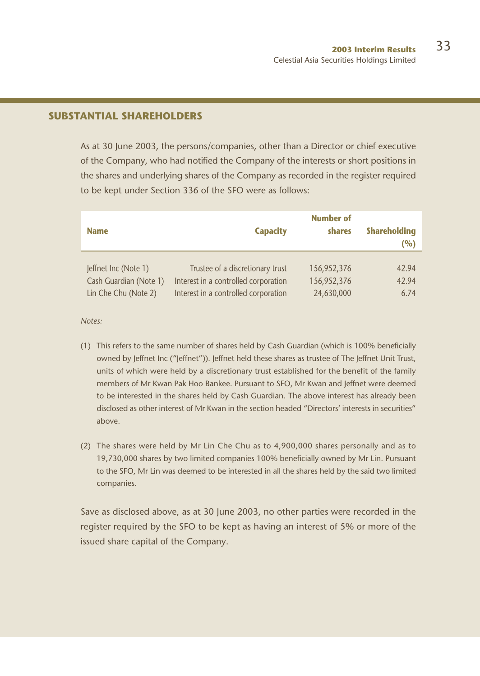# **SUBSTANTIAL SHAREHOLDERS**

As at 30 June 2003, the persons/companies, other than a Director or chief executive of the Company, who had notified the Company of the interests or short positions in the shares and underlying shares of the Company as recorded in the register required to be kept under Section 336 of the SFO were as follows:

| <b>Name</b>            | <b>Capacity</b>                      | <b>Number of</b><br>shares | <b>Shareholding</b><br>(%) |
|------------------------|--------------------------------------|----------------------------|----------------------------|
| Jeffnet Inc (Note 1)   | Trustee of a discretionary trust     | 156,952,376                | 42.94                      |
| Cash Guardian (Note 1) | Interest in a controlled corporation | 156,952,376                | 42.94                      |
| Lin Che Chu (Note 2)   | Interest in a controlled corporation | 24,630,000                 | 6.74                       |

*Notes:*

- (1) This refers to the same number of shares held by Cash Guardian (which is 100% beneficially owned by Jeffnet Inc ("Jeffnet")). Jeffnet held these shares as trustee of The Jeffnet Unit Trust, units of which were held by a discretionary trust established for the benefit of the family members of Mr Kwan Pak Hoo Bankee. Pursuant to SFO, Mr Kwan and Jeffnet were deemed to be interested in the shares held by Cash Guardian. The above interest has already been disclosed as other interest of Mr Kwan in the section headed "Directors' interests in securities" above.
- (2) The shares were held by Mr Lin Che Chu as to 4,900,000 shares personally and as to 19,730,000 shares by two limited companies 100% beneficially owned by Mr Lin. Pursuant to the SFO, Mr Lin was deemed to be interested in all the shares held by the said two limited companies.

Save as disclosed above, as at 30 June 2003, no other parties were recorded in the register required by the SFO to be kept as having an interest of 5% or more of the issued share capital of the Company.